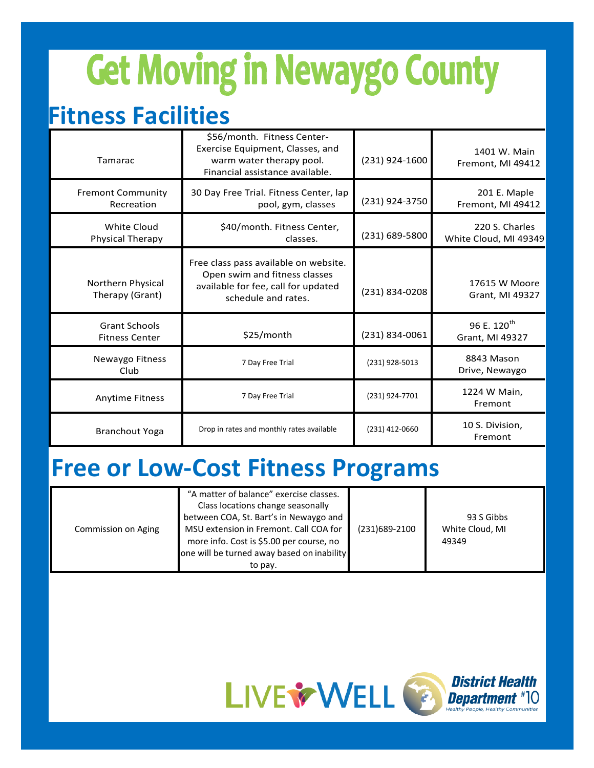# **Get Moving in Newaygo County**

### **Fitness Facilities**

| Tamarac                                       | \$56/month. Fitness Center-<br>Exercise Equipment, Classes, and<br>warm water therapy pool.<br>Financial assistance available.       | (231) 924-1600 | 1401 W. Main<br>Fremont, MI 49412          |
|-----------------------------------------------|--------------------------------------------------------------------------------------------------------------------------------------|----------------|--------------------------------------------|
| <b>Fremont Community</b><br>Recreation        | 30 Day Free Trial. Fitness Center, lap<br>pool, gym, classes                                                                         | (231) 924-3750 | 201 E. Maple<br>Fremont, MI 49412          |
| White Cloud<br>Physical Therapy               | \$40/month. Fitness Center,<br>classes.                                                                                              | (231) 689-5800 | 220 S. Charles<br>White Cloud, MI 49349    |
| Northern Physical<br>Therapy (Grant)          | Free class pass available on website.<br>Open swim and fitness classes<br>available for fee, call for updated<br>schedule and rates. | (231) 834-0208 | 17615 W Moore<br>Grant, MI 49327           |
| <b>Grant Schools</b><br><b>Fitness Center</b> | \$25/month                                                                                                                           | (231) 834-0061 | 96 E. 120 <sup>th</sup><br>Grant, MI 49327 |
| Newaygo Fitness<br>Club                       | 7 Day Free Trial                                                                                                                     | (231) 928-5013 | 8843 Mason<br>Drive, Newaygo               |
| <b>Anytime Fitness</b>                        | 7 Day Free Trial                                                                                                                     | (231) 924-7701 | 1224 W Main,<br>Fremont                    |
| <b>Branchout Yoga</b>                         | Drop in rates and monthly rates available                                                                                            | (231) 412-0660 | 10 S. Division,<br>Fremont                 |

#### **Free or Low-Cost Fitness Programs**

| Commission on Aging | "A matter of balance" exercise classes.<br>Class locations change seasonally<br>between COA, St. Bart's in Newaygo and<br>MSU extension in Fremont. Call COA for<br>more info. Cost is \$5.00 per course, no<br>one will be turned away based on inability<br>to pay. | (231)689-2100 | 93 S Gibbs<br>White Cloud, MI<br>49349 |
|---------------------|-----------------------------------------------------------------------------------------------------------------------------------------------------------------------------------------------------------------------------------------------------------------------|---------------|----------------------------------------|
|---------------------|-----------------------------------------------------------------------------------------------------------------------------------------------------------------------------------------------------------------------------------------------------------------------|---------------|----------------------------------------|



# IO